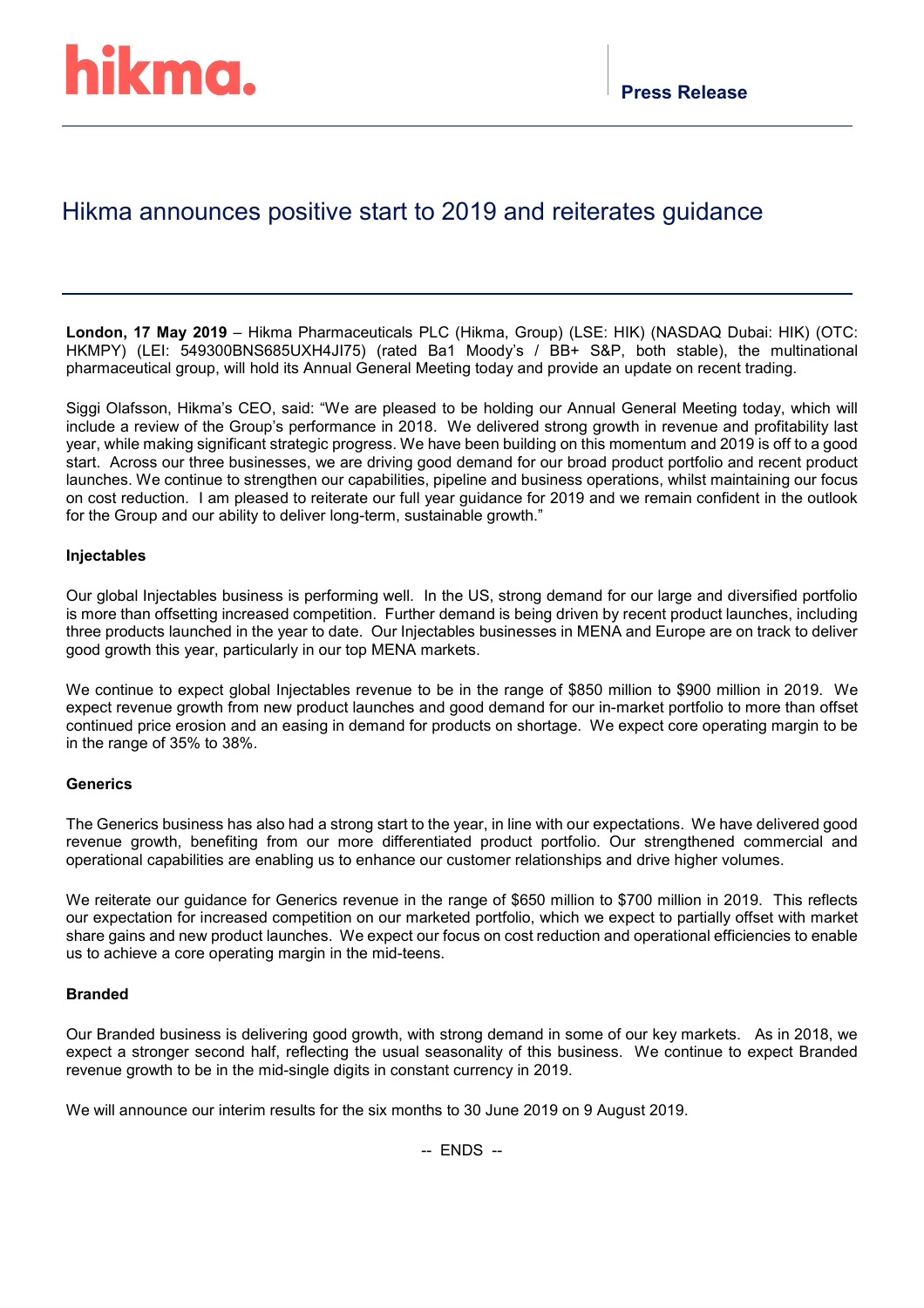## Hikma announces positive start to 2019 and reiterates guidance

**London, 17 May 2019** – Hikma Pharmaceuticals PLC (Hikma, Group) (LSE: HIK) (NASDAQ Dubai: HIK) (OTC: HKMPY) (LEI: 549300BNS685UXH4JI75) (rated Ba1 Moody's / BB+ S&P, both stable), the multinational pharmaceutical group, will hold its Annual General Meeting today and provide an update on recent trading.

Siggi Olafsson, Hikma's CEO, said: "We are pleased to be holding our Annual General Meeting today, which will include a review of the Group's performance in 2018. We delivered strong growth in revenue and profitability last year, while making significant strategic progress. We have been building on this momentum and 2019 is off to a good start. Across our three businesses, we are driving good demand for our broad product portfolio and recent product launches. We continue to strengthen our capabilities, pipeline and business operations, whilst maintaining our focus on cost reduction. I am pleased to reiterate our full year guidance for 2019 and we remain confident in the outlook for the Group and our ability to deliver long-term, sustainable growth."

### **Injectables**

Our global Injectables business is performing well. In the US, strong demand for our large and diversified portfolio is more than offsetting increased competition. Further demand is being driven by recent product launches, including three products launched in the year to date. Our Injectables businesses in MENA and Europe are on track to deliver good growth this year, particularly in our top MENA markets.

We continue to expect global Injectables revenue to be in the range of \$850 million to \$900 million in 2019. We expect revenue growth from new product launches and good demand for our in-market portfolio to more than offset continued price erosion and an easing in demand for products on shortage. We expect core operating margin to be in the range of 35% to 38%.

### **Generics**

The Generics business has also had a strong start to the year, in line with our expectations. We have delivered good revenue growth, benefiting from our more differentiated product portfolio. Our strengthened commercial and operational capabilities are enabling us to enhance our customer relationships and drive higher volumes.

We reiterate our guidance for Generics revenue in the range of \$650 million to \$700 million in 2019. This reflects our expectation for increased competition on our marketed portfolio, which we expect to partially offset with market share gains and new product launches. We expect our focus on cost reduction and operational efficiencies to enable us to achieve a core operating margin in the mid-teens.

### **Branded**

Our Branded business is delivering good growth, with strong demand in some of our key markets. As in 2018, we expect a stronger second half, reflecting the usual seasonality of this business. We continue to expect Branded revenue growth to be in the mid-single digits in constant currency in 2019.

We will announce our interim results for the six months to 30 June 2019 on 9 August 2019.